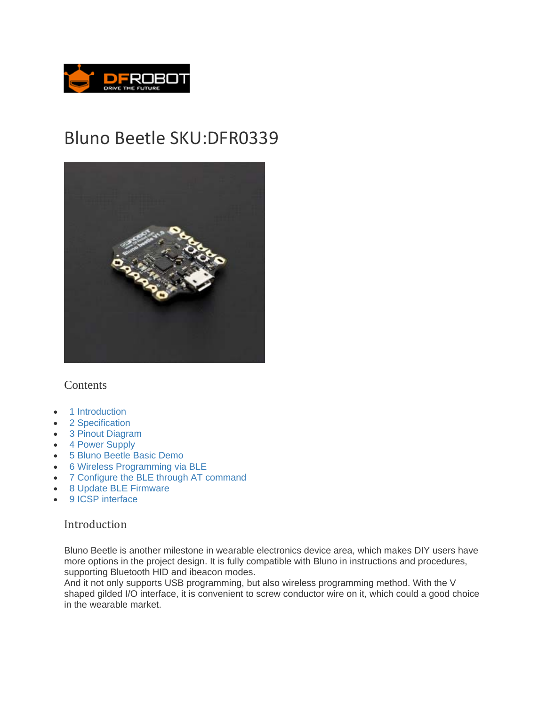

# Bluno Beetle SKU:DFR0339



#### **Contents**

- 1 Introduction
- 2 Specification
- 3 Pinout Diagram
- 4 Power Supply
- 5 Bluno Beetle Basic Demo
- 6 Wireless Programming via BLE
- 7 Configure the BLE through AT command
- 8 Update BLE Firmware
- 9 ICSP interface

#### Introduction

Bluno Beetle is another milestone in wearable electronics device area, which makes DIY users have more options in the project design. It is fully compatible with Bluno in instructions and procedures, supporting Bluetooth HID and ibeacon modes.

And it not only supports USB programming, but also wireless programming method. With the V shaped gilded I/O interface, it is convenient to screw conductor wire on it, which could a good choice in the wearable market.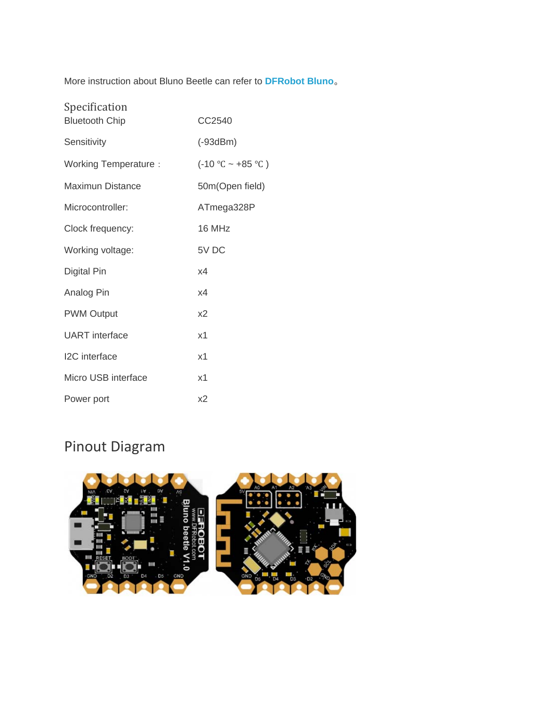More instruction about Bluno Beetle can refer to **DFRobot Bluno**。

| Specification<br><b>Bluetooth Chip</b> | CC2540                 |
|----------------------------------------|------------------------|
| Sensitivity                            | $(-93dBm)$             |
| Working Temperature :                  | $(-10 °C \sim +85 °C)$ |
| Maximun Distance                       | 50m(Open field)        |
| Microcontroller:                       | ATmega328P             |
| Clock frequency:                       | 16 MHz                 |
| Working voltage:                       | 5V DC                  |
| Digital Pin                            | x4                     |
| Analog Pin                             | x4                     |
| <b>PWM Output</b>                      | x <sub>2</sub>         |
| <b>UART</b> interface                  | x1                     |
| <b>I2C</b> interface                   | x <sub>1</sub>         |
| Micro USB interface                    | x1                     |
| Power port                             | x2                     |

## Pinout Diagram

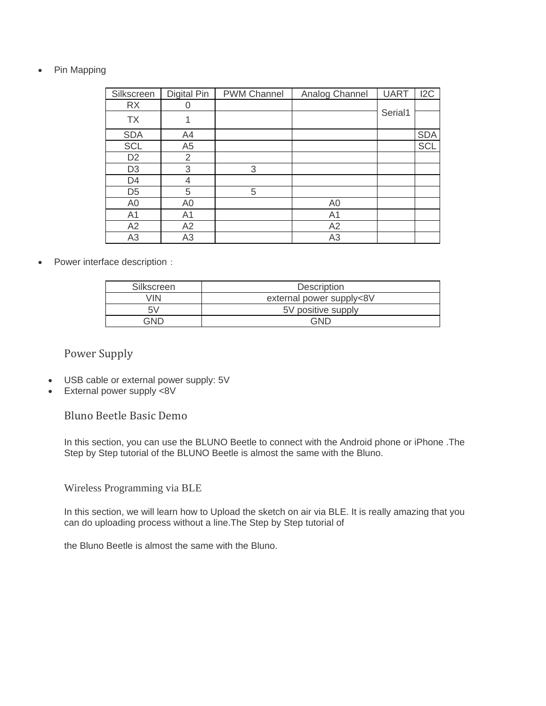• Pin Mapping

| Silkscreen     | Digital Pin    | <b>PWM Channel</b> | Analog Channel | <b>UART</b> | 12C        |
|----------------|----------------|--------------------|----------------|-------------|------------|
| <b>RX</b>      |                |                    |                |             |            |
| <b>TX</b>      |                |                    |                | Serial1     |            |
| <b>SDA</b>     | A4             |                    |                |             | <b>SDA</b> |
| <b>SCL</b>     | A <sub>5</sub> |                    |                |             | <b>SCL</b> |
| D <sub>2</sub> | 2              |                    |                |             |            |
| D <sub>3</sub> | 3              | 3                  |                |             |            |
| D <sub>4</sub> | 4              |                    |                |             |            |
| D <sub>5</sub> | 5              | 5                  |                |             |            |
| A <sub>0</sub> | A <sub>0</sub> |                    | A <sub>0</sub> |             |            |
| A <sub>1</sub> | A <sub>1</sub> |                    | A <sub>1</sub> |             |            |
| A2             | A2             |                    | A2             |             |            |
| A <sub>3</sub> | A3             |                    | A3             |             |            |

• Power interface description:

| Silkscreen | Description              |  |
|------------|--------------------------|--|
| /IN        | external power supply<8V |  |
|            | 5V positive supply       |  |
| าแ⊤        |                          |  |

#### Power Supply

- USB cable or external power supply: 5V
- External power supply <8V

Bluno Beetle Basic Demo

In this section, you can use the BLUNO Beetle to connect with the Android phone or iPhone .The Step by Step tutorial of the BLUNO Beetle is almost the same with the Bluno.

Wireless Programming via BLE

In this section, we will learn how to Upload the sketch on air via BLE. It is really amazing that you can do uploading process without a line.The Step by Step tutorial of

the Bluno Beetle is almost the same with the Bluno.